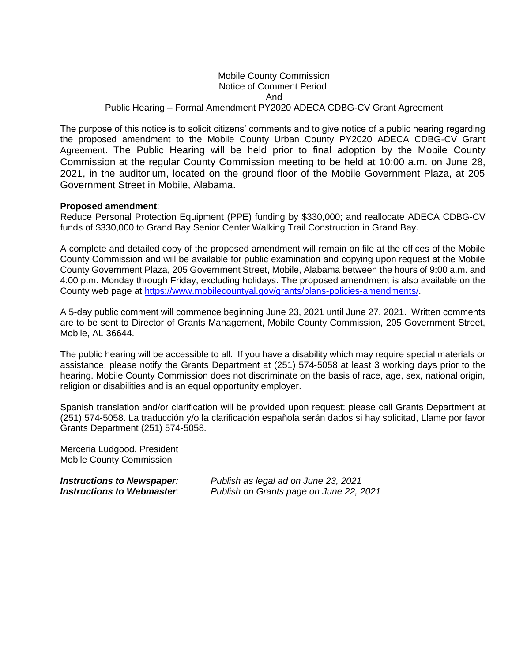## Mobile County Commission Notice of Comment Period And Public Hearing – Formal Amendment PY2020 ADECA CDBG-CV Grant Agreement

The purpose of this notice is to solicit citizens' comments and to give notice of a public hearing regarding the proposed amendment to the Mobile County Urban County PY2020 ADECA CDBG-CV Grant Agreement. The Public Hearing will be held prior to final adoption by the Mobile County Commission at the regular County Commission meeting to be held at 10:00 a.m. on June 28, 2021, in the auditorium, located on the ground floor of the Mobile Government Plaza, at 205 Government Street in Mobile, Alabama.

## **Proposed amendment**:

Reduce Personal Protection Equipment (PPE) funding by \$330,000; and reallocate ADECA CDBG-CV funds of \$330,000 to Grand Bay Senior Center Walking Trail Construction in Grand Bay.

A complete and detailed copy of the proposed amendment will remain on file at the offices of the Mobile County Commission and will be available for public examination and copying upon request at the Mobile County Government Plaza, 205 Government Street, Mobile, Alabama between the hours of 9:00 a.m. and 4:00 p.m. Monday through Friday, excluding holidays. The proposed amendment is also available on the County web page at [https://www.mobilecountyal.gov/grants/plans-policies-amendments/.](https://www.mobilecountyal.gov/grants/plans-policies-amendments/)

A 5-day public comment will commence beginning June 23, 2021 until June 27, 2021. Written comments are to be sent to Director of Grants Management, Mobile County Commission, 205 Government Street, Mobile, AL 36644.

The public hearing will be accessible to all. If you have a disability which may require special materials or assistance, please notify the Grants Department at (251) 574-5058 at least 3 working days prior to the hearing. Mobile County Commission does not discriminate on the basis of race, age, sex, national origin, religion or disabilities and is an equal opportunity employer.

Spanish translation and/or clarification will be provided upon request: please call Grants Department at (251) 574-5058. La traducción y/o la clarificación española serán dados si hay solicitad, Llame por favor Grants Department (251) 574-5058.

Merceria Ludgood, President Mobile County Commission

*Instructions to Newspaper: Publish as legal ad on June 23, 2021 Instructions to Webmaster: Publish on Grants page on June 22, 2021*